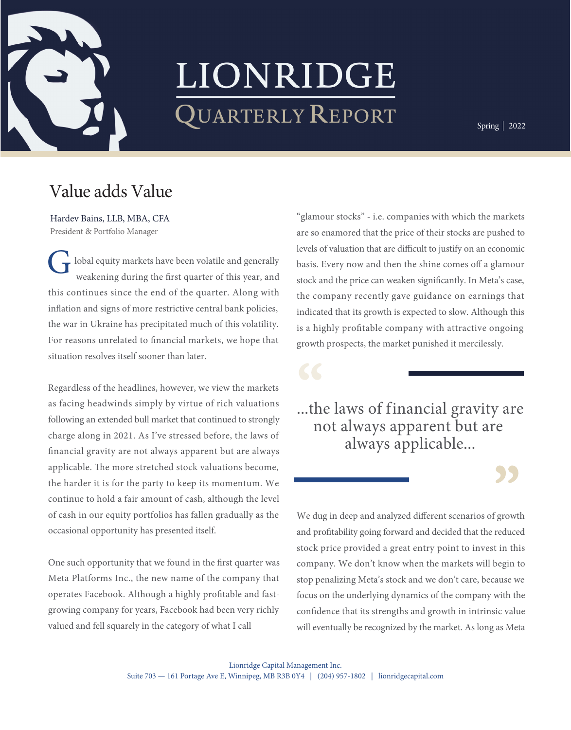

## LIONRIDGE QUARTERLY REPORT

Spring | 2022

fall | 2018

## Value adds Value

Hardev Bains, LLB, MBA, CFA President & Portfolio Manager

ng u<br>sinc<br>gns o  $\left( \begin{array}{c} \bullet \\ \bullet \end{array} \right)$  lobal equity markets have been volatile and generally this continues since the end of the quarter. Along with the compinflation and signs of more restrictive central bank policies, indicated t the war in Ukraine has precipitated much of this volatility. <br>is a highly we do a lot of the word of the word trading. So perhaps my use of the word of the word of the word of the word  $\ell$  $\ldots$ weakening during the first quarter of this year, and For reasons unrelated to financial markets, we hope that situation resolves itself sooner than later. G

Regardless of the headlines, however, we view the markets as facing headwinds simply by virtue of rich valuations  $\mathbf{h}_{\mathbf{a}}$  1 following an extended bull market that continued to strongly And, very importantly, we only invest in such companies if applicable. The more stretched stock valuations become, the harder it is for the party to keep its momentum. We of cash in our equity portfolios has fallen gradually as the We dug in occasional opportunity has presented itself. The same of and profita charge along in 2021. As I've stressed before, the laws of nancial gravity are not always apparent but are always continue to hold a fair amount of cash, although the level

One such opportunity that we found in the first quarter was company. Meta Platforms Inc., the new name of the company that stop penal operates Facebook. Although a highly profitable and fast-<br>focus on the involvement of certain shareholders in the set of the set of the set of the set of the set of the<br>set of the set of the set of the set of the set of th growing company for years, Facebook had been very richly confidence valued and fell squarely in the category of what I call will eventu

the company recently gave guidance on earnings that indicated that its growth is expected to slow. Although this is a highly profitable company with attractive ongoing "glamour stocks" - i.e. companies with which the markets are so enamored that the price of their stocks are pushed to levels of valuation that are difficult to justify on an economic basis. Every now and then the shine comes off a glamour stock and the price can weaken significantly. In Meta's case, growth prospects, the market punished it mercilessly.

...the laws of financial gravity are  $\alpha$  compared to its fundamental selection  $\alpha$ not always apparent but are always applicable...

invest in such companies we monitor them carefully (that's

stock price provided a great entry point to invest in this stop penalizing Meta's stock and we don't care, because we  $\sigma$  -size of our advantages is our ability and will independent with  $\sigma$ confidence that its strengths and growth in intrinsic value will eventually be recognized by the market. As long as Meta We dug in deep and analyzed different scenarios of growth and profitability going forward and decided that the reduced company. We don't know when the markets will begin to focus on the underlying dynamics of the company with the